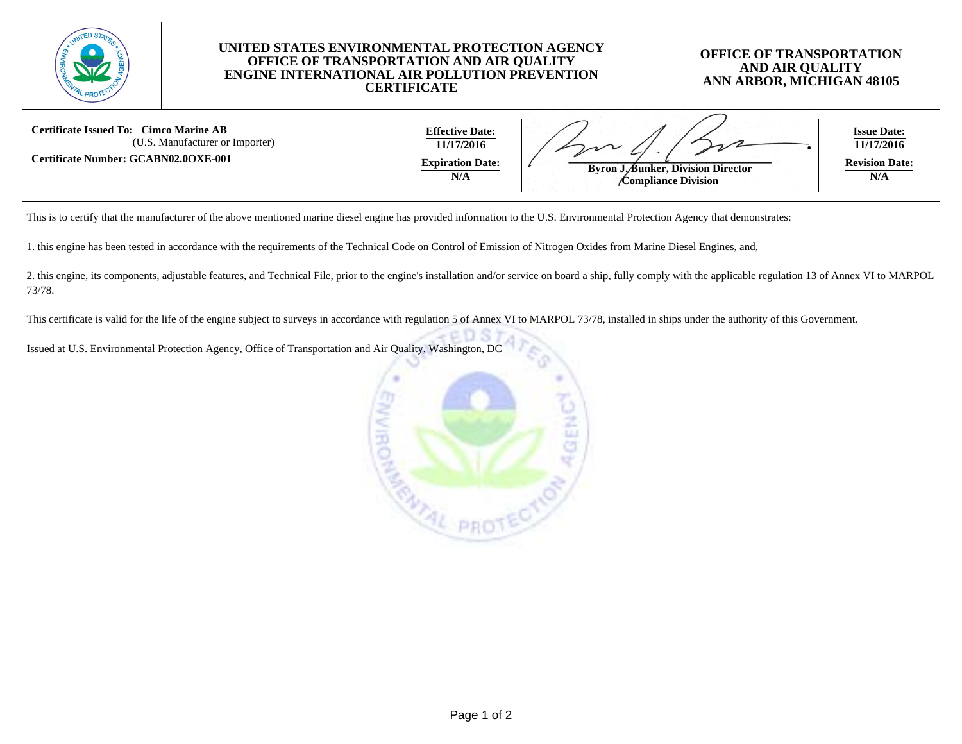

## **UNITED STATES ENVIRONMENTAL PROTECTION AGENCYOFFICE OF TRANSPORTATION AND AIR QUALITY ENGINE INTERNATIONAL AIR POLLUTION PREVENTIONCERTIFICATE**

## **OFFICE OF TRANSPORTATIONAND AIR QUALITYANN ARBOR, MICHIGAN 48105**

| <b>Certificate Issued To:</b><br><b>Cimco Marine AB</b><br>(U.S. Manufacturer or Importer)<br><b>Certificate Number: GCABN02.0OXE-001</b> | <b>Effective Date:</b><br>11/17/2016<br><b>Expiration Date:</b><br>N/A | <b>Byron J. Bunker, Division Director</b><br>Compliance Division | <b>Issue Date:</b><br>11/17/2016<br><b>Revision Date:</b><br>N/A |
|-------------------------------------------------------------------------------------------------------------------------------------------|------------------------------------------------------------------------|------------------------------------------------------------------|------------------------------------------------------------------|

This is to certify that the manufacturer of the above mentioned marine diesel engine has provided information to the U.S. Environmental Protection Agency that demonstrates:

1. this engine has been tested in accordance with the requirements of the Technical Code on Control of Emission of Nitrogen Oxides from Marine Diesel Engines, and,

2. this engine, its components, adjustable features, and Technical File, prior to the engine's installation and/or service on board a ship, fully comply with the applicable regulation 13 of Annex VI to MARPOL73/78.

This certificate is valid for the life of the engine subject to surveys in accordance with regulation 5 of Annex VI to MARPOL 73/78, installed in ships under the authority of this Government.

Issued at U.S. Environmental Protection Agency, Office of Transportation and Air Quality, Washington, DC